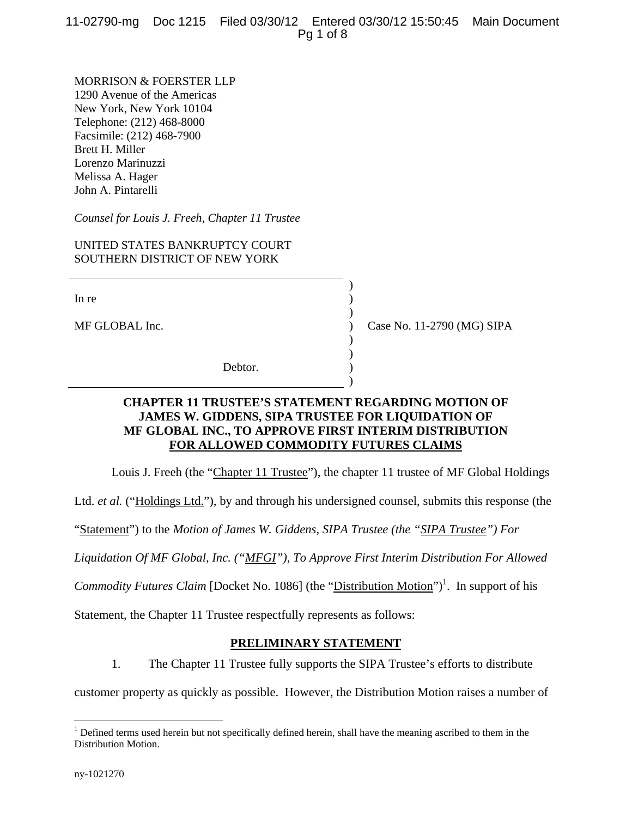MORRISON & FOERSTER LLP 1290 Avenue of the Americas New York, New York 10104 Telephone: (212) 468-8000 Facsimile: (212) 468-7900 Brett H. Miller Lorenzo Marinuzzi Melissa A. Hager John A. Pintarelli

*Counsel for Louis J. Freeh, Chapter 11 Trustee* 

UNITED STATES BANKRUPTCY COURT SOUTHERN DISTRICT OF NEW YORK

 $)$ 

 $)$ 

 $)$  $)$ 

 $)$ 

In re  $($ 

MF GLOBAL Inc.  $\qquad \qquad$  (MG) SIPA

Debtor.

## **CHAPTER 11 TRUSTEE'S STATEMENT REGARDING MOTION OF JAMES W. GIDDENS, SIPA TRUSTEE FOR LIQUIDATION OF MF GLOBAL INC., TO APPROVE FIRST INTERIM DISTRIBUTION FOR ALLOWED COMMODITY FUTURES CLAIMS**

Louis J. Freeh (the "Chapter 11 Trustee"), the chapter 11 trustee of MF Global Holdings

Ltd. *et al.* ("Holdings Ltd."), by and through his undersigned counsel, submits this response (the

"Statement") to the *Motion of James W. Giddens, SIPA Trustee (the "SIPA Trustee") For* 

*Liquidation Of MF Global, Inc. ("MFGI"), To Approve First Interim Distribution For Allowed* 

*Commodity Futures Claim* [Docket No. 1086] (the "Distribution Motion")<sup>1</sup>. In support of his

Statement, the Chapter 11 Trustee respectfully represents as follows:

## **PRELIMINARY STATEMENT**

1. The Chapter 11 Trustee fully supports the SIPA Trustee's efforts to distribute

customer property as quickly as possible. However, the Distribution Motion raises a number of

1

 $1$  Defined terms used herein but not specifically defined herein, shall have the meaning ascribed to them in the Distribution Motion.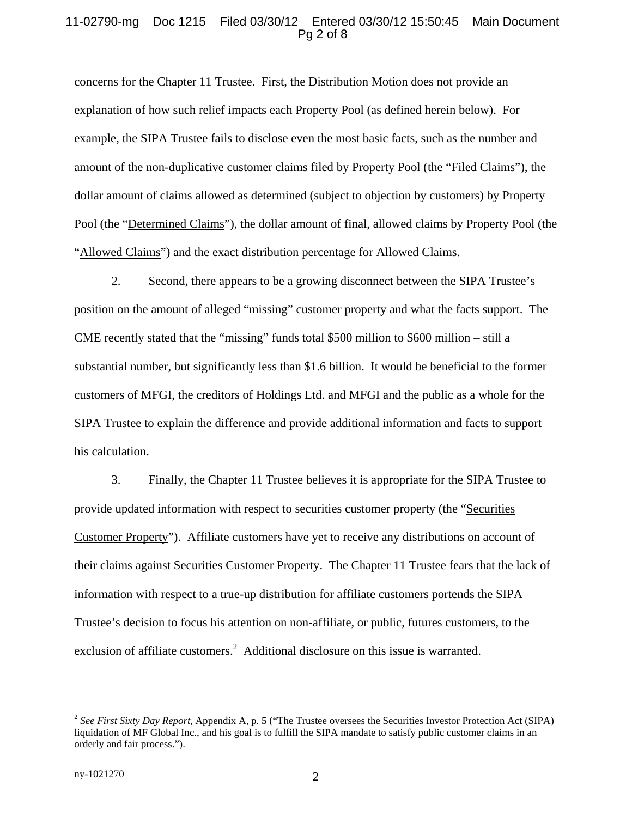#### 11-02790-mg Doc 1215 Filed 03/30/12 Entered 03/30/12 15:50:45 Main Document Pg 2 of 8

concerns for the Chapter 11 Trustee. First, the Distribution Motion does not provide an explanation of how such relief impacts each Property Pool (as defined herein below). For example, the SIPA Trustee fails to disclose even the most basic facts, such as the number and amount of the non-duplicative customer claims filed by Property Pool (the "Filed Claims"), the dollar amount of claims allowed as determined (subject to objection by customers) by Property Pool (the "Determined Claims"), the dollar amount of final, allowed claims by Property Pool (the "Allowed Claims") and the exact distribution percentage for Allowed Claims.

2. Second, there appears to be a growing disconnect between the SIPA Trustee's position on the amount of alleged "missing" customer property and what the facts support. The CME recently stated that the "missing" funds total \$500 million to \$600 million – still a substantial number, but significantly less than \$1.6 billion. It would be beneficial to the former customers of MFGI, the creditors of Holdings Ltd. and MFGI and the public as a whole for the SIPA Trustee to explain the difference and provide additional information and facts to support his calculation.

3. Finally, the Chapter 11 Trustee believes it is appropriate for the SIPA Trustee to provide updated information with respect to securities customer property (the "Securities Customer Property"). Affiliate customers have yet to receive any distributions on account of their claims against Securities Customer Property. The Chapter 11 Trustee fears that the lack of information with respect to a true-up distribution for affiliate customers portends the SIPA Trustee's decision to focus his attention on non-affiliate, or public, futures customers, to the exclusion of affiliate customers.<sup>2</sup> Additional disclosure on this issue is warranted.

<u>.</u>

<sup>2</sup> *See First Sixty Day Report*, Appendix A, p. 5 ("The Trustee oversees the Securities Investor Protection Act (SIPA) liquidation of MF Global Inc., and his goal is to fulfill the SIPA mandate to satisfy public customer claims in an orderly and fair process.").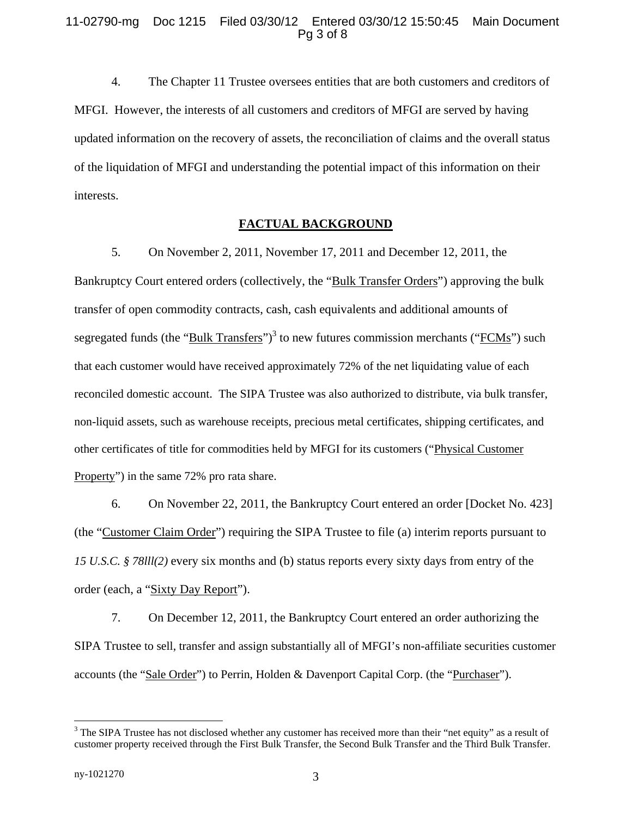4. The Chapter 11 Trustee oversees entities that are both customers and creditors of MFGI. However, the interests of all customers and creditors of MFGI are served by having updated information on the recovery of assets, the reconciliation of claims and the overall status of the liquidation of MFGI and understanding the potential impact of this information on their interests.

### **FACTUAL BACKGROUND**

5. On November 2, 2011, November 17, 2011 and December 12, 2011, the Bankruptcy Court entered orders (collectively, the "Bulk Transfer Orders") approving the bulk transfer of open commodity contracts, cash, cash equivalents and additional amounts of segregated funds (the "Bulk Transfers")<sup>3</sup> to new futures commission merchants ("FCMs") such that each customer would have received approximately 72% of the net liquidating value of each reconciled domestic account. The SIPA Trustee was also authorized to distribute, via bulk transfer, non-liquid assets, such as warehouse receipts, precious metal certificates, shipping certificates, and other certificates of title for commodities held by MFGI for its customers ("Physical Customer Property") in the same 72% pro rata share.

6. On November 22, 2011, the Bankruptcy Court entered an order [Docket No. 423] (the "Customer Claim Order") requiring the SIPA Trustee to file (a) interim reports pursuant to *15 U.S.C. § 78lll(2)* every six months and (b) status reports every sixty days from entry of the order (each, a "Sixty Day Report").

7. On December 12, 2011, the Bankruptcy Court entered an order authorizing the SIPA Trustee to sell, transfer and assign substantially all of MFGI's non-affiliate securities customer accounts (the "Sale Order") to Perrin, Holden & Davenport Capital Corp. (the "Purchaser").

1

 $3$  The SIPA Trustee has not disclosed whether any customer has received more than their "net equity" as a result of customer property received through the First Bulk Transfer, the Second Bulk Transfer and the Third Bulk Transfer.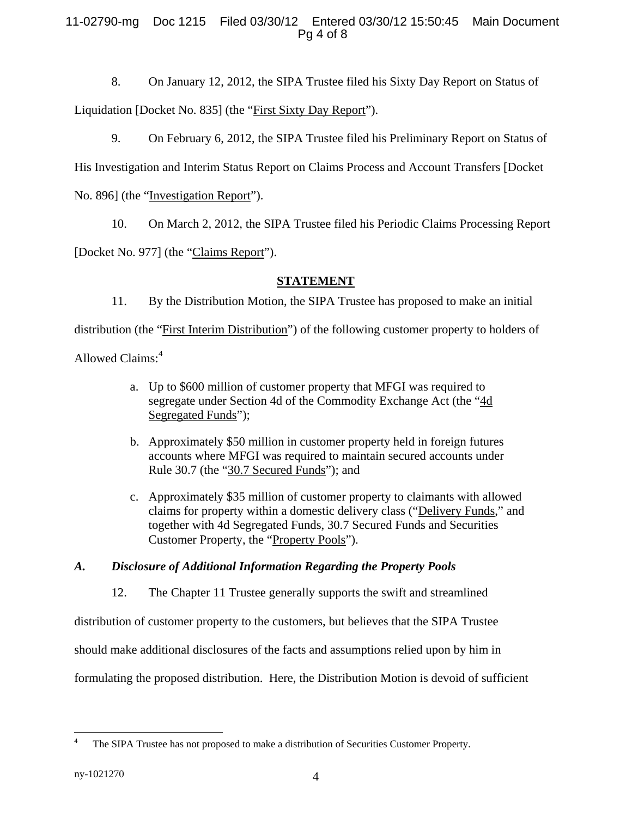## 11-02790-mg Doc 1215 Filed 03/30/12 Entered 03/30/12 15:50:45 Main Document Pg 4 of 8

8. On January 12, 2012, the SIPA Trustee filed his Sixty Day Report on Status of Liquidation [Docket No. 835] (the "First Sixty Day Report").

9. On February 6, 2012, the SIPA Trustee filed his Preliminary Report on Status of His Investigation and Interim Status Report on Claims Process and Account Transfers [Docket No. 896] (the "Investigation Report").

10. On March 2, 2012, the SIPA Trustee filed his Periodic Claims Processing Report

[Docket No. 977] (the "Claims Report").

# **STATEMENT**

11. By the Distribution Motion, the SIPA Trustee has proposed to make an initial

distribution (the "First Interim Distribution") of the following customer property to holders of

Allowed Claims:<sup>4</sup>

- a. Up to \$600 million of customer property that MFGI was required to segregate under Section 4d of the Commodity Exchange Act (the "4d Segregated Funds");
- b. Approximately \$50 million in customer property held in foreign futures accounts where MFGI was required to maintain secured accounts under Rule 30.7 (the "30.7 Secured Funds"); and
- c. Approximately \$35 million of customer property to claimants with allowed claims for property within a domestic delivery class ("Delivery Funds," and together with 4d Segregated Funds, 30.7 Secured Funds and Securities Customer Property, the "Property Pools").

## *A. Disclosure of Additional Information Regarding the Property Pools*

12. The Chapter 11 Trustee generally supports the swift and streamlined

distribution of customer property to the customers, but believes that the SIPA Trustee

should make additional disclosures of the facts and assumptions relied upon by him in

formulating the proposed distribution. Here, the Distribution Motion is devoid of sufficient

 $\overline{a}$ 4 The SIPA Trustee has not proposed to make a distribution of Securities Customer Property.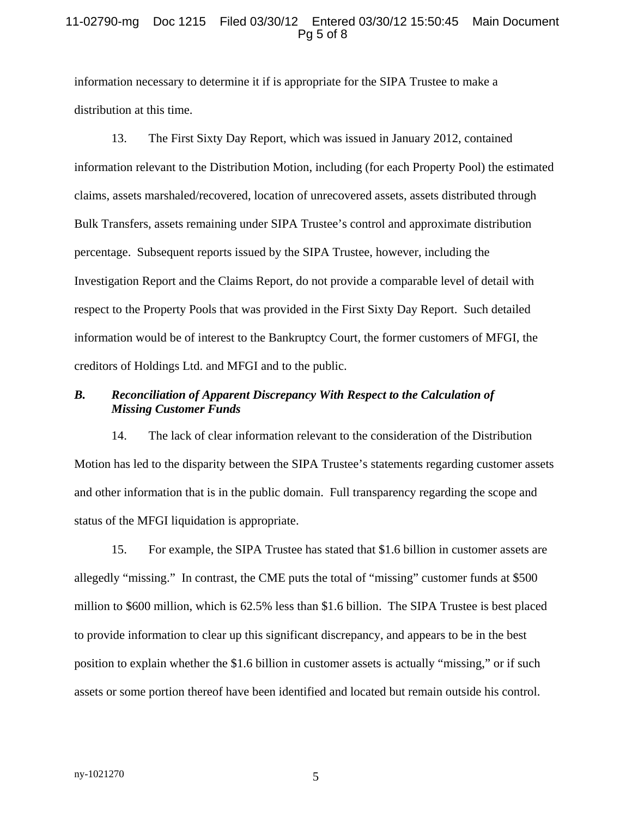#### 11-02790-mg Doc 1215 Filed 03/30/12 Entered 03/30/12 15:50:45 Main Document Pg 5 of 8

information necessary to determine it if is appropriate for the SIPA Trustee to make a distribution at this time.

13. The First Sixty Day Report, which was issued in January 2012, contained information relevant to the Distribution Motion, including (for each Property Pool) the estimated claims, assets marshaled/recovered, location of unrecovered assets, assets distributed through Bulk Transfers, assets remaining under SIPA Trustee's control and approximate distribution percentage. Subsequent reports issued by the SIPA Trustee, however, including the Investigation Report and the Claims Report, do not provide a comparable level of detail with respect to the Property Pools that was provided in the First Sixty Day Report. Such detailed information would be of interest to the Bankruptcy Court, the former customers of MFGI, the creditors of Holdings Ltd. and MFGI and to the public.

### *B. Reconciliation of Apparent Discrepancy With Respect to the Calculation of Missing Customer Funds*

14. The lack of clear information relevant to the consideration of the Distribution Motion has led to the disparity between the SIPA Trustee's statements regarding customer assets and other information that is in the public domain. Full transparency regarding the scope and status of the MFGI liquidation is appropriate.

15. For example, the SIPA Trustee has stated that \$1.6 billion in customer assets are allegedly "missing." In contrast, the CME puts the total of "missing" customer funds at \$500 million to \$600 million, which is 62.5% less than \$1.6 billion. The SIPA Trustee is best placed to provide information to clear up this significant discrepancy, and appears to be in the best position to explain whether the \$1.6 billion in customer assets is actually "missing," or if such assets or some portion thereof have been identified and located but remain outside his control.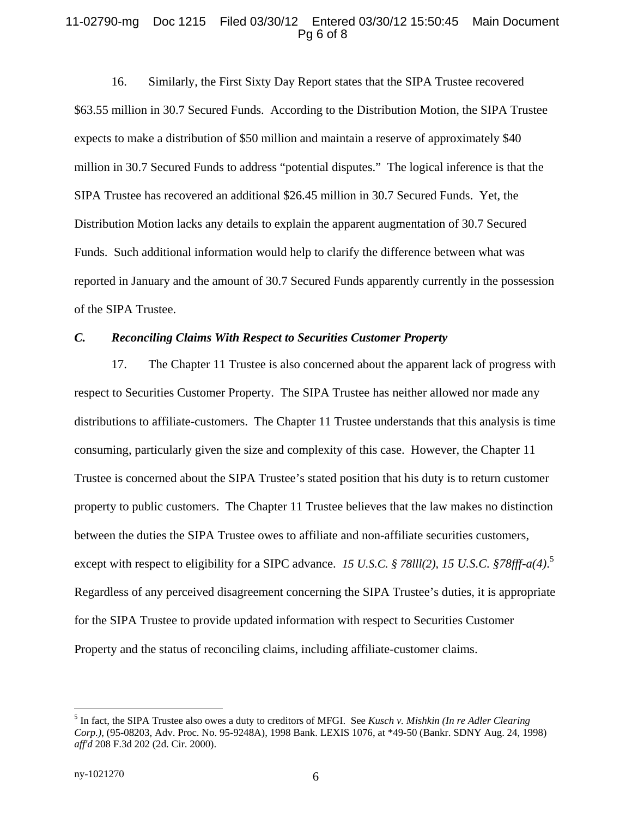#### 11-02790-mg Doc 1215 Filed 03/30/12 Entered 03/30/12 15:50:45 Main Document Pg 6 of 8

16. Similarly, the First Sixty Day Report states that the SIPA Trustee recovered \$63.55 million in 30.7 Secured Funds. According to the Distribution Motion, the SIPA Trustee expects to make a distribution of \$50 million and maintain a reserve of approximately \$40 million in 30.7 Secured Funds to address "potential disputes." The logical inference is that the SIPA Trustee has recovered an additional \$26.45 million in 30.7 Secured Funds. Yet, the Distribution Motion lacks any details to explain the apparent augmentation of 30.7 Secured Funds. Such additional information would help to clarify the difference between what was reported in January and the amount of 30.7 Secured Funds apparently currently in the possession of the SIPA Trustee.

#### *C. Reconciling Claims With Respect to Securities Customer Property*

17. The Chapter 11 Trustee is also concerned about the apparent lack of progress with respect to Securities Customer Property. The SIPA Trustee has neither allowed nor made any distributions to affiliate-customers. The Chapter 11 Trustee understands that this analysis is time consuming, particularly given the size and complexity of this case. However, the Chapter 11 Trustee is concerned about the SIPA Trustee's stated position that his duty is to return customer property to public customers. The Chapter 11 Trustee believes that the law makes no distinction between the duties the SIPA Trustee owes to affiliate and non-affiliate securities customers, except with respect to eligibility for a SIPC advance. 15 U.S.C. § 78III(2), 15 U.S.C. § 78fff-a(4).<sup>5</sup> Regardless of any perceived disagreement concerning the SIPA Trustee's duties, it is appropriate for the SIPA Trustee to provide updated information with respect to Securities Customer Property and the status of reconciling claims, including affiliate-customer claims.

<u>.</u>

<sup>5</sup> In fact, the SIPA Trustee also owes a duty to creditors of MFGI. See *Kusch v. Mishkin (In re Adler Clearing Corp.)*, (95-08203, Adv. Proc. No. 95-9248A), 1998 Bank. LEXIS 1076, at \*49-50 (Bankr. SDNY Aug. 24, 1998) *aff'd* 208 F.3d 202 (2d. Cir. 2000).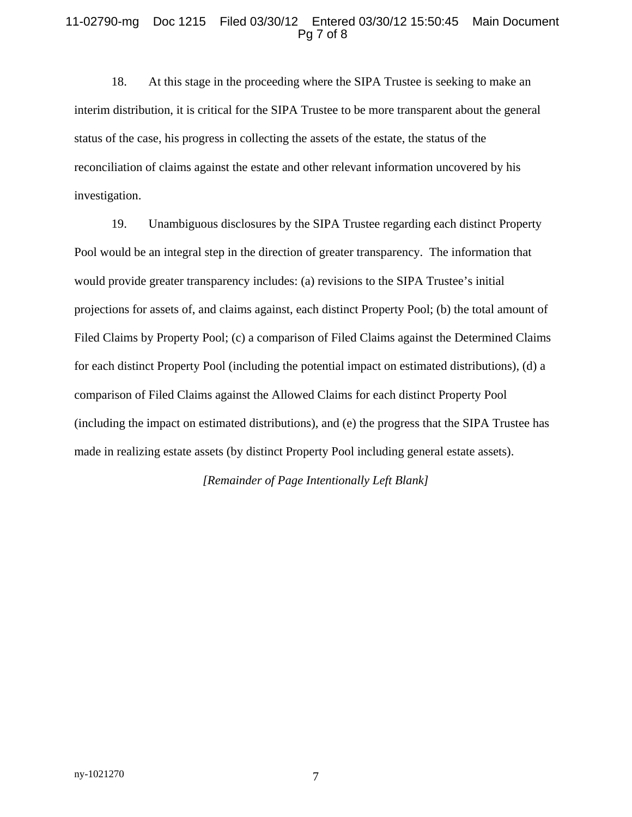### 11-02790-mg Doc 1215 Filed 03/30/12 Entered 03/30/12 15:50:45 Main Document Pg 7 of 8

18. At this stage in the proceeding where the SIPA Trustee is seeking to make an interim distribution, it is critical for the SIPA Trustee to be more transparent about the general status of the case, his progress in collecting the assets of the estate, the status of the reconciliation of claims against the estate and other relevant information uncovered by his investigation.

19. Unambiguous disclosures by the SIPA Trustee regarding each distinct Property Pool would be an integral step in the direction of greater transparency. The information that would provide greater transparency includes: (a) revisions to the SIPA Trustee's initial projections for assets of, and claims against, each distinct Property Pool; (b) the total amount of Filed Claims by Property Pool; (c) a comparison of Filed Claims against the Determined Claims for each distinct Property Pool (including the potential impact on estimated distributions), (d) a comparison of Filed Claims against the Allowed Claims for each distinct Property Pool (including the impact on estimated distributions), and (e) the progress that the SIPA Trustee has made in realizing estate assets (by distinct Property Pool including general estate assets).

*[Remainder of Page Intentionally Left Blank]*